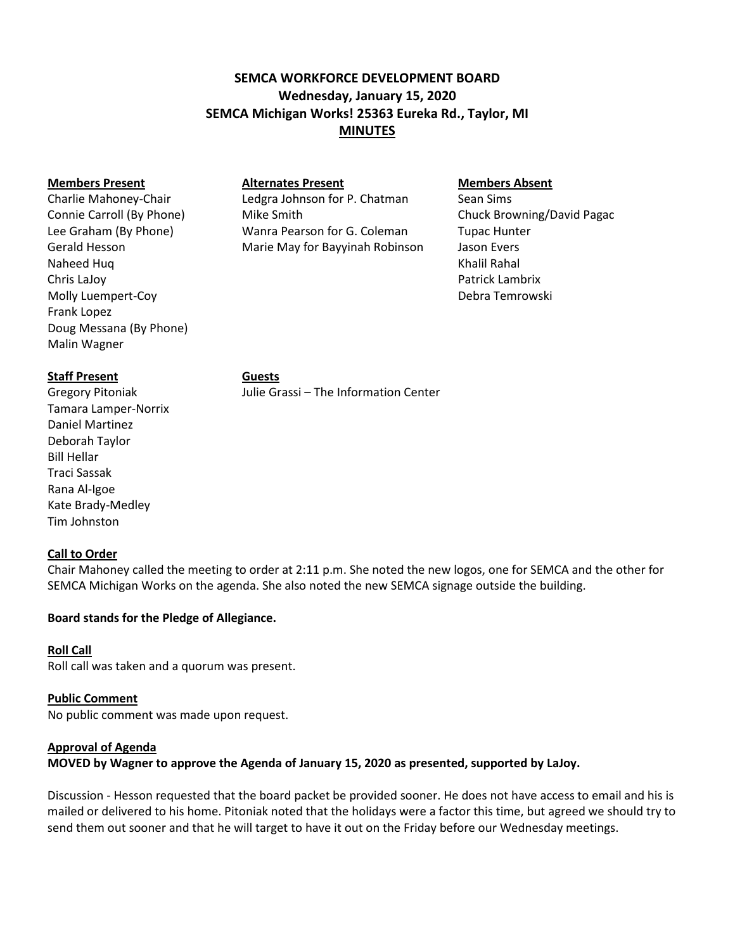# **SEMCA WORKFORCE DEVELOPMENT BOARD Wednesday, January 15, 2020 SEMCA Michigan Works! 25363 Eureka Rd., Taylor, MI MINUTES**

#### **Members Present Alternates Present Members Absent**

Naheed Huq Khalil Rahal Khalil Rahal Khalil Rahal Khalil Rahal Khalil Rahal Khalil Rahal Khalil Rahal Khalil Rahal Khalil Rahal Khalil Rahal Khalil Rahal Khalil Rahal Khalil Rahal Khalil Rahal Khalil Rahal Khalil Rahal Kha Chris LaJoy Patrick Lambrix Molly Luempert-Coy Debra Temrowski Frank Lopez Doug Messana (By Phone) Malin Wagner

Charlie Mahoney-Chair **Ledgra Johnson for P. Chatman** Sean Sims Connie Carroll (By Phone) Mike Smith Chuck Browning/David Pagac Lee Graham (By Phone) Wanra Pearson for G. Coleman Tupac Hunter Gerald Hesson Marie May for Bayyinah Robinson Jason Evers

# **Staff Present Guests**

Tamara Lamper-Norrix Daniel Martinez Deborah Taylor Bill Hellar Traci Sassak Rana Al-Igoe Kate Brady-Medley Tim Johnston

Gregory Pitoniak Julie Grassi – The Information Center

# **Call to Order**

Chair Mahoney called the meeting to order at 2:11 p.m. She noted the new logos, one for SEMCA and the other for SEMCA Michigan Works on the agenda. She also noted the new SEMCA signage outside the building.

# **Board stands for the Pledge of Allegiance.**

# **Roll Call**

Roll call was taken and a quorum was present.

# **Public Comment**

No public comment was made upon request.

# **Approval of Agenda**

**MOVED by Wagner to approve the Agenda of January 15, 2020 as presented, supported by LaJoy.** 

Discussion - Hesson requested that the board packet be provided sooner. He does not have access to email and his is mailed or delivered to his home. Pitoniak noted that the holidays were a factor this time, but agreed we should try to send them out sooner and that he will target to have it out on the Friday before our Wednesday meetings.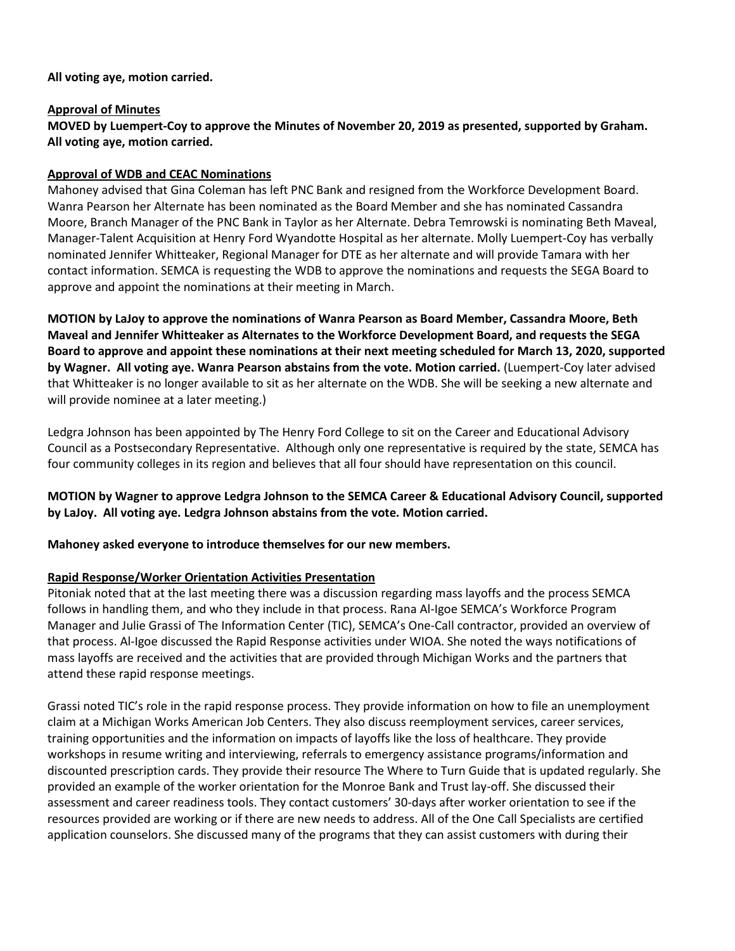### **All voting aye, motion carried.**

### **Approval of Minutes**

**MOVED by Luempert-Coy to approve the Minutes of November 20, 2019 as presented, supported by Graham. All voting aye, motion carried.**

# **Approval of WDB and CEAC Nominations**

Mahoney advised that Gina Coleman has left PNC Bank and resigned from the Workforce Development Board. Wanra Pearson her Alternate has been nominated as the Board Member and she has nominated Cassandra Moore, Branch Manager of the PNC Bank in Taylor as her Alternate. Debra Temrowski is nominating Beth Maveal, Manager-Talent Acquisition at Henry Ford Wyandotte Hospital as her alternate. Molly Luempert-Coy has verbally nominated Jennifer Whitteaker, Regional Manager for DTE as her alternate and will provide Tamara with her contact information. SEMCA is requesting the WDB to approve the nominations and requests the SEGA Board to approve and appoint the nominations at their meeting in March.

**MOTION by LaJoy to approve the nominations of Wanra Pearson as Board Member, Cassandra Moore, Beth Maveal and Jennifer Whitteaker as Alternates to the Workforce Development Board, and requests the SEGA Board to approve and appoint these nominations at their next meeting scheduled for March 13, 2020, supported by Wagner. All voting aye. Wanra Pearson abstains from the vote. Motion carried.** (Luempert-Coy later advised that Whitteaker is no longer available to sit as her alternate on the WDB. She will be seeking a new alternate and will provide nominee at a later meeting.)

Ledgra Johnson has been appointed by The Henry Ford College to sit on the Career and Educational Advisory Council as a Postsecondary Representative. Although only one representative is required by the state, SEMCA has four community colleges in its region and believes that all four should have representation on this council.

**MOTION by Wagner to approve Ledgra Johnson to the SEMCA Career & Educational Advisory Council, supported by LaJoy. All voting aye. Ledgra Johnson abstains from the vote. Motion carried.**

**Mahoney asked everyone to introduce themselves for our new members.**

### **Rapid Response/Worker Orientation Activities Presentation**

Pitoniak noted that at the last meeting there was a discussion regarding mass layoffs and the process SEMCA follows in handling them, and who they include in that process. Rana Al-Igoe SEMCA's Workforce Program Manager and Julie Grassi of The Information Center (TIC), SEMCA's One-Call contractor, provided an overview of that process. Al-Igoe discussed the Rapid Response activities under WIOA. She noted the ways notifications of mass layoffs are received and the activities that are provided through Michigan Works and the partners that attend these rapid response meetings.

Grassi noted TIC's role in the rapid response process. They provide information on how to file an unemployment claim at a Michigan Works American Job Centers. They also discuss reemployment services, career services, training opportunities and the information on impacts of layoffs like the loss of healthcare. They provide workshops in resume writing and interviewing, referrals to emergency assistance programs/information and discounted prescription cards. They provide their resource The Where to Turn Guide that is updated regularly. She provided an example of the worker orientation for the Monroe Bank and Trust lay-off. She discussed their assessment and career readiness tools. They contact customers' 30-days after worker orientation to see if the resources provided are working or if there are new needs to address. All of the One Call Specialists are certified application counselors. She discussed many of the programs that they can assist customers with during their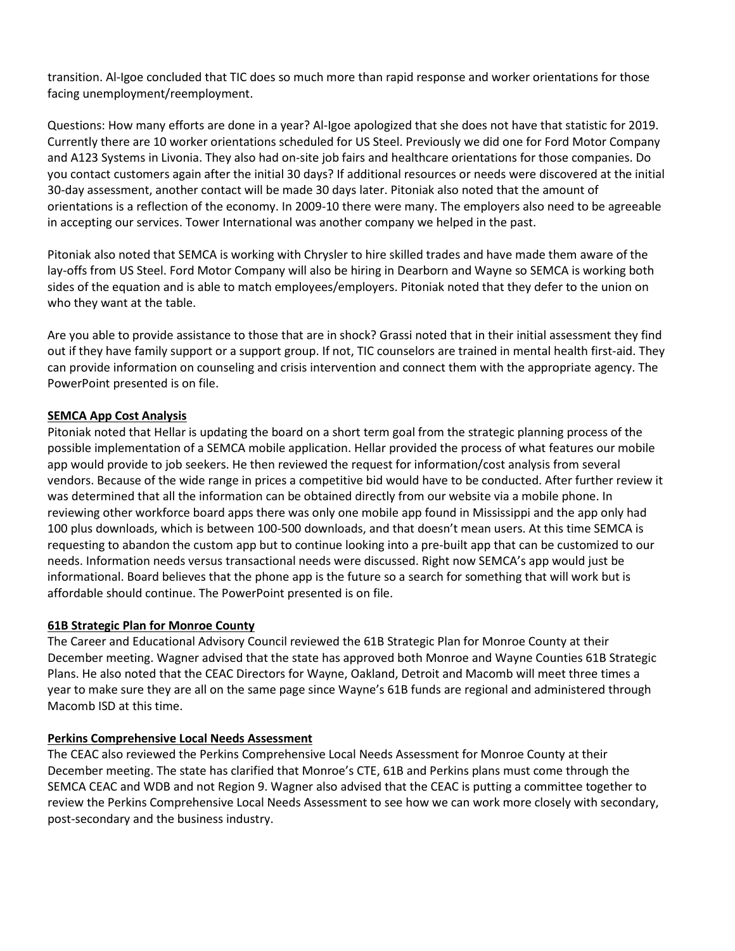transition. Al-Igoe concluded that TIC does so much more than rapid response and worker orientations for those facing unemployment/reemployment.

Questions: How many efforts are done in a year? Al-Igoe apologized that she does not have that statistic for 2019. Currently there are 10 worker orientations scheduled for US Steel. Previously we did one for Ford Motor Company and A123 Systems in Livonia. They also had on-site job fairs and healthcare orientations for those companies. Do you contact customers again after the initial 30 days? If additional resources or needs were discovered at the initial 30-day assessment, another contact will be made 30 days later. Pitoniak also noted that the amount of orientations is a reflection of the economy. In 2009-10 there were many. The employers also need to be agreeable in accepting our services. Tower International was another company we helped in the past.

Pitoniak also noted that SEMCA is working with Chrysler to hire skilled trades and have made them aware of the lay-offs from US Steel. Ford Motor Company will also be hiring in Dearborn and Wayne so SEMCA is working both sides of the equation and is able to match employees/employers. Pitoniak noted that they defer to the union on who they want at the table.

Are you able to provide assistance to those that are in shock? Grassi noted that in their initial assessment they find out if they have family support or a support group. If not, TIC counselors are trained in mental health first-aid. They can provide information on counseling and crisis intervention and connect them with the appropriate agency. The PowerPoint presented is on file.

# **SEMCA App Cost Analysis**

Pitoniak noted that Hellar is updating the board on a short term goal from the strategic planning process of the possible implementation of a SEMCA mobile application. Hellar provided the process of what features our mobile app would provide to job seekers. He then reviewed the request for information/cost analysis from several vendors. Because of the wide range in prices a competitive bid would have to be conducted. After further review it was determined that all the information can be obtained directly from our website via a mobile phone. In reviewing other workforce board apps there was only one mobile app found in Mississippi and the app only had 100 plus downloads, which is between 100-500 downloads, and that doesn't mean users. At this time SEMCA is requesting to abandon the custom app but to continue looking into a pre-built app that can be customized to our needs. Information needs versus transactional needs were discussed. Right now SEMCA's app would just be informational. Board believes that the phone app is the future so a search for something that will work but is affordable should continue. The PowerPoint presented is on file.

### **61B Strategic Plan for Monroe County**

The Career and Educational Advisory Council reviewed the 61B Strategic Plan for Monroe County at their December meeting. Wagner advised that the state has approved both Monroe and Wayne Counties 61B Strategic Plans. He also noted that the CEAC Directors for Wayne, Oakland, Detroit and Macomb will meet three times a year to make sure they are all on the same page since Wayne's 61B funds are regional and administered through Macomb ISD at this time.

### **Perkins Comprehensive Local Needs Assessment**

The CEAC also reviewed the Perkins Comprehensive Local Needs Assessment for Monroe County at their December meeting. The state has clarified that Monroe's CTE, 61B and Perkins plans must come through the SEMCA CEAC and WDB and not Region 9. Wagner also advised that the CEAC is putting a committee together to review the Perkins Comprehensive Local Needs Assessment to see how we can work more closely with secondary, post-secondary and the business industry.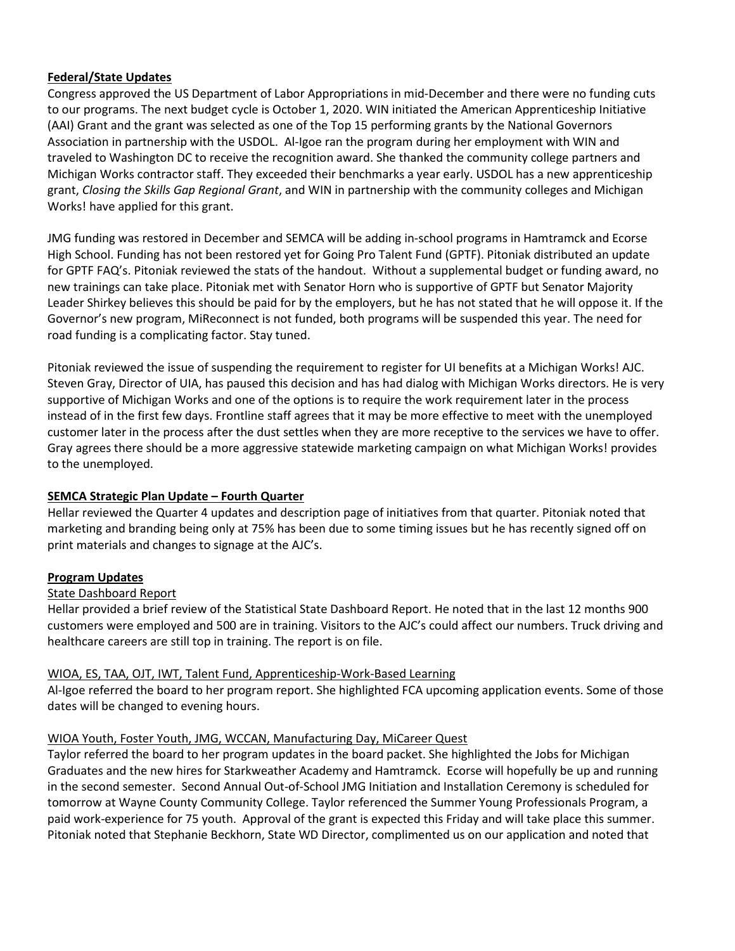# **Federal/State Updates**

Congress approved the US Department of Labor Appropriations in mid-December and there were no funding cuts to our programs. The next budget cycle is October 1, 2020. WIN initiated the American Apprenticeship Initiative (AAI) Grant and the grant was selected as one of the Top 15 performing grants by the National Governors Association in partnership with the USDOL. Al-Igoe ran the program during her employment with WIN and traveled to Washington DC to receive the recognition award. She thanked the community college partners and Michigan Works contractor staff. They exceeded their benchmarks a year early. USDOL has a new apprenticeship grant, *Closing the Skills Gap Regional Grant*, and WIN in partnership with the community colleges and Michigan Works! have applied for this grant.

JMG funding was restored in December and SEMCA will be adding in-school programs in Hamtramck and Ecorse High School. Funding has not been restored yet for Going Pro Talent Fund (GPTF). Pitoniak distributed an update for GPTF FAQ's. Pitoniak reviewed the stats of the handout. Without a supplemental budget or funding award, no new trainings can take place. Pitoniak met with Senator Horn who is supportive of GPTF but Senator Majority Leader Shirkey believes this should be paid for by the employers, but he has not stated that he will oppose it. If the Governor's new program, MiReconnect is not funded, both programs will be suspended this year. The need for road funding is a complicating factor. Stay tuned.

Pitoniak reviewed the issue of suspending the requirement to register for UI benefits at a Michigan Works! AJC. Steven Gray, Director of UIA, has paused this decision and has had dialog with Michigan Works directors. He is very supportive of Michigan Works and one of the options is to require the work requirement later in the process instead of in the first few days. Frontline staff agrees that it may be more effective to meet with the unemployed customer later in the process after the dust settles when they are more receptive to the services we have to offer. Gray agrees there should be a more aggressive statewide marketing campaign on what Michigan Works! provides to the unemployed.

# **SEMCA Strategic Plan Update – Fourth Quarter**

Hellar reviewed the Quarter 4 updates and description page of initiatives from that quarter. Pitoniak noted that marketing and branding being only at 75% has been due to some timing issues but he has recently signed off on print materials and changes to signage at the AJC's.

### **Program Updates**

### State Dashboard Report

Hellar provided a brief review of the Statistical State Dashboard Report. He noted that in the last 12 months 900 customers were employed and 500 are in training. Visitors to the AJC's could affect our numbers. Truck driving and healthcare careers are still top in training. The report is on file.

### WIOA, ES, TAA, OJT, IWT, Talent Fund, Apprenticeship-Work-Based Learning

Al-Igoe referred the board to her program report. She highlighted FCA upcoming application events. Some of those dates will be changed to evening hours.

### WIOA Youth, Foster Youth, JMG, WCCAN, Manufacturing Day, MiCareer Quest

Taylor referred the board to her program updates in the board packet. She highlighted the Jobs for Michigan Graduates and the new hires for Starkweather Academy and Hamtramck. Ecorse will hopefully be up and running in the second semester. Second Annual Out-of-School JMG Initiation and Installation Ceremony is scheduled for tomorrow at Wayne County Community College. Taylor referenced the Summer Young Professionals Program, a paid work-experience for 75 youth. Approval of the grant is expected this Friday and will take place this summer. Pitoniak noted that Stephanie Beckhorn, State WD Director, complimented us on our application and noted that